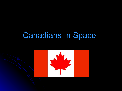## Canadians In Space

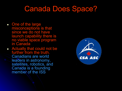#### Canada Does Space?

- One of the large misconceptions is that since we do not have launch capability there is no viable space program in Canada
- Actually that could not be further from the truth. Canadians are world leaders in astronomy, satellites, robotics, and Canada is a founding member of the ISS

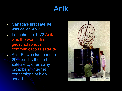## Anik

- Canada's first satellite was called Anik
- Launched in 1972 Anik was the worlds first geosynchronous communications satellite.
- Anik F2 was launched in 2004 and is the first satellite to offer 2way broadband internet connections at high speed.

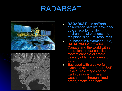## RADARSAT





- **RADARSAT-1** is anEarth observation satellite developed by Canada to monitor environmental changes and the planet's natural resources.
- Launched in November 1995, **RADARSAT-1** provides Canada and the world with an operational radar satellite system capable of timely delivery of large amounts of data.
- Equipped with a powerful synthetic aperture radar (SAR) it acquires images of the Earth day or night, in all weather and through cloud cover, smoke and haze.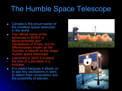# The Humble Space Telescope

- Canada is the proud owner of the smallest space telescope in the world
- The official name of the telescope is MOST or Microvariability and Oscillations of STars, but it's affectionately known as the Humble, a takeoff on the larger Hubble space telescope.
- Launched in 2003 it is about the size of a pie plate in a suitcase.
- It is useful because it allows us to see tiny oscillations in stars to detect their composition and the possibility of planets.



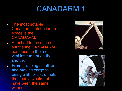### CANADARM 1

- The most notable Canadian contribution to space is the CANADARM.
- Attached to the space shuttle the CANADARM has become the most vital instrument on the shuttle.
- From grabbing satellites and moving cargo to being a lift for astronauts the shuttle would not have been the same without it.



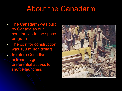### About the Canadarm

- The Canadarm was built by Canada as our contribution to the space program.
- The cost for construction was 100 million dollars
- **In return Canadian** astronauts get preferential access to shuttle launches.

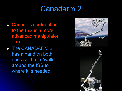### Canadarm 2

- Canada's contribution to the ISS is a more advanced manipulator arm
- The CANADARM 2 has a hand on both ends so it can "walk" around the ISS to where it is needed.



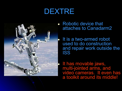### DEXTRE



- Robotic device that attaches to Canadarm2
	- It is a two-armed robot used to do construction and repair work outside the ISS

• It has movable jaws, multi-jointed arms, and video cameras. It even has a toolkit around its middle!